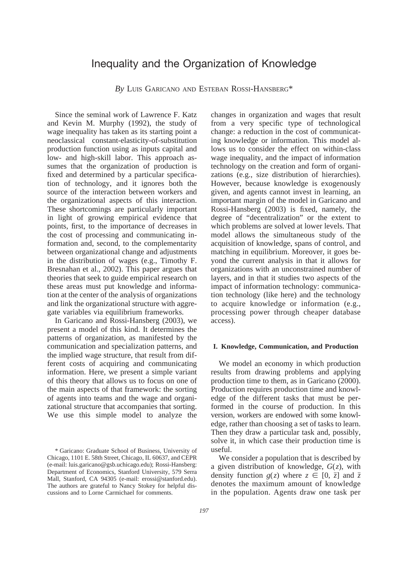# Inequality and the Organization of Knowledge

*By* LUIS GARICANO AND ESTEBAN ROSSI-HANSBERG\*

Since the seminal work of Lawrence F. Katz and Kevin M. Murphy (1992), the study of wage inequality has taken as its starting point a neoclassical constant-elasticity-of-substitution production function using as inputs capital and low- and high-skill labor. This approach assumes that the organization of production is fixed and determined by a particular specification of technology, and it ignores both the source of the interaction between workers and the organizational aspects of this interaction. These shortcomings are particularly important in light of growing empirical evidence that points, first, to the importance of decreases in the cost of processing and communicating information and, second, to the complementarity between organizational change and adjustments in the distribution of wages (e.g., Timothy F. Bresnahan et al., 2002). This paper argues that theories that seek to guide empirical research on these areas must put knowledge and information at the center of the analysis of organizations and link the organizational structure with aggregate variables via equilibrium frameworks.

In Garicano and Rossi-Hansberg (2003), we present a model of this kind. It determines the patterns of organization, as manifested by the communication and specialization patterns, and the implied wage structure, that result from different costs of acquiring and communicating information. Here, we present a simple variant of this theory that allows us to focus on one of the main aspects of that framework: the sorting of agents into teams and the wage and organizational structure that accompanies that sorting. We use this simple model to analyze the

changes in organization and wages that result from a very specific type of technological change: a reduction in the cost of communicating knowledge or information. This model allows us to consider the effect on within-class wage inequality, and the impact of information technology on the creation and form of organizations (e.g., size distribution of hierarchies). However, because knowledge is exogenously given, and agents cannot invest in learning, an important margin of the model in Garicano and Rossi-Hansberg (2003) is fixed, namely, the degree of "decentralization" or the extent to which problems are solved at lower levels. That model allows the simultaneous study of the acquisition of knowledge, spans of control, and matching in equilibrium. Moreover, it goes beyond the current analysis in that it allows for organizations with an unconstrained number of layers, and in that it studies two aspects of the impact of information technology: communication technology (like here) and the technology to acquire knowledge or information (e.g., processing power through cheaper database access).

#### **I. Knowledge, Communication, and Production**

We model an economy in which production results from drawing problems and applying production time to them, as in Garicano (2000). Production requires production time and knowledge of the different tasks that must be performed in the course of production. In this version, workers are endowed with some knowledge, rather than choosing a set of tasks to learn. Then they draw a particular task and, possibly, solve it, in which case their production time is useful.

We consider a population that is described by a given distribution of knowledge, *G*(*z*), with density function  $g(z)$  where  $z \in [0, \overline{z}]$  and  $\overline{z}$ denotes the maximum amount of knowledge in the population. Agents draw one task per

<sup>\*</sup> Garicano: Graduate School of Business, University of Chicago, 1101 E. 58th Street, Chicago, IL 60637, and CEPR (e-mail: luis.garicano@gsb.uchicago.edu); Rossi-Hansberg: Department of Economics, Stanford University, 579 Serra Mall, Stanford, CA 94305 (e-mail: erossi@stanford.edu). The authors are grateful to Nancy Stokey for helpful discussions and to Lorne Carmichael for comments.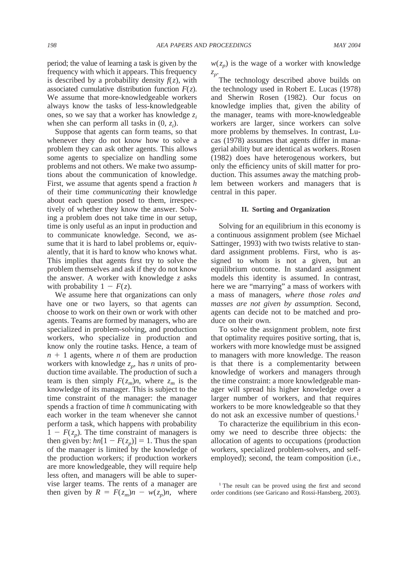period; the value of learning a task is given by the frequency with which it appears. This frequency is described by a probability density  $f(z)$ , with associated cumulative distribution function *F*(*z*). We assume that more-knowledgeable workers always know the tasks of less-knowledgeable ones, so we say that a worker has knowledge *zi* when she can perform all tasks in  $(0, z_i)$ .

Suppose that agents can form teams, so that whenever they do not know how to solve a problem they can ask other agents. This allows some agents to specialize on handling some problems and not others. We make two assumptions about the communication of knowledge. First, we assume that agents spend a fraction *h* of their time *communicating* their knowledge about each question posed to them, irrespectively of whether they know the answer. Solving a problem does not take time in our setup, time is only useful as an input in production and to communicate knowledge. Second, we assume that it is hard to label problems or, equivalently, that it is hard to know who knows what. This implies that agents first try to solve the problem themselves and ask if they do not know the answer. A worker with knowledge *z* asks with probability  $1 - F(z)$ .

We assume here that organizations can only have one or two layers, so that agents can choose to work on their own or work with other agents. Teams are formed by managers, who are specialized in problem-solving, and production workers, who specialize in production and know only the routine tasks. Hence, a team of  $n + 1$  agents, where *n* of them are production workers with knowledge  $z_p$ , has *n* units of production time available. The production of such a team is then simply  $F(z_m)n$ , where  $z_m$  is the knowledge of its manager. This is subject to the time constraint of the manager: the manager spends a fraction of time *h* communicating with each worker in the team whenever she cannot perform a task, which happens with probability  $1 - F(z_p)$ . The time constraint of managers is then given by:  $hn[1 - F(z_p)] = 1$ . Thus the span of the manager is limited by the knowledge of the production workers; if production workers are more knowledgeable, they will require help less often, and managers will be able to supervise larger teams. The rents of a manager are then given by  $R = F(z_m)n - w(z_p)n$ , where

 $w(z_p)$  is the wage of a worker with knowledge *zp*.

The technology described above builds on the technology used in Robert E. Lucas (1978) and Sherwin Rosen (1982). Our focus on knowledge implies that, given the ability of the manager, teams with more-knowledgeable workers are larger, since workers can solve more problems by themselves. In contrast, Lucas (1978) assumes that agents differ in managerial ability but are identical as workers. Rosen (1982) does have heterogenous workers, but only the efficiency units of skill matter for production. This assumes away the matching problem between workers and managers that is central in this paper.

#### **II. Sorting and Organization**

Solving for an equilibrium in this economy is a continuous assignment problem (see Michael Sattinger, 1993) with two twists relative to standard assignment problems. First, who is assigned to whom is not a given, but an equilibrium outcome. In standard assignment models this identity is assumed. In contrast, here we are "marrying" a mass of workers with a mass of managers, *where those roles and masses are not given by assumption.* Second, agents can decide not to be matched and produce on their own.

To solve the assignment problem, note first that optimality requires positive sorting, that is, workers with more knowledge must be assigned to managers with more knowledge. The reason is that there is a complementarity between knowledge of workers and managers through the time constraint: a more knowledgeable manager will spread his higher knowledge over a larger number of workers, and that requires workers to be more knowledgeable so that they do not ask an excessive number of questions.1

To characterize the equilibrium in this economy we need to describe three objects: the allocation of agents to occupations (production workers, specialized problem-solvers, and selfemployed); second, the team composition (i.e.,

<sup>&</sup>lt;sup>1</sup> The result can be proved using the first and second order conditions (see Garicano and Rossi-Hansberg, 2003).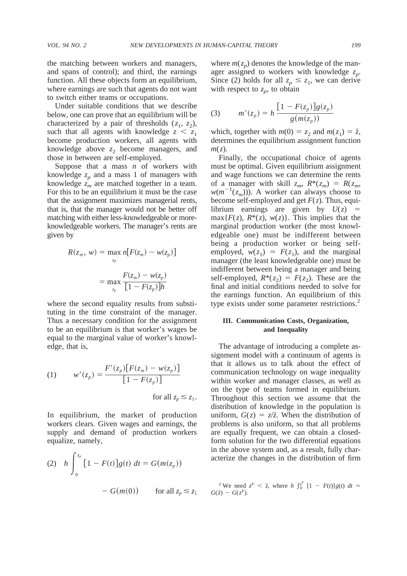the matching between workers and managers, and spans of control); and third, the earnings function. All these objects form an equilibrium, where earnings are such that agents do not want to switch either teams or occupations.

Under suitable conditions that we describe below, one can prove that an equilibrium will be characterized by a pair of thresholds  $(z_1, z_2)$ , such that all agents with knowledge  $z < z_1$ become production workers, all agents with knowledge above  $z_2$  become managers, and those in between are self-employed.

Suppose that a mass *n* of workers with knowledge  $z_p$  and a mass 1 of managers with knowledge  $z_m$  are matched together in a team. For this to be an equilibrium it must be the case that the assignment maximizes managerial rents, that is, that the manager would not be better off matching with either less-knowledgeable or moreknowledgeable workers. The manager's rents are given by

$$
R(z_m, w) = \max_{z_p} n[F(z_m) - w(z_p)]
$$
  
= 
$$
\max_{z_p} \frac{F(z_m) - w(z_p)}{[1 - F(z_p)]h}
$$

where the second equality results from substituting in the time constraint of the manager. Thus a necessary condition for the assignment to be an equilibrium is that worker's wages be equal to the marginal value of worker's knowledge, that is,

(1) 
$$
w'(z_p) = \frac{F'(z_p)[F(z_m) - w(z_p)]}{[1 - F(z_p)]}
$$
  
for all  $z_p \le z_1$ .

In equilibrium, the market of production workers clears. Given wages and earnings, the supply and demand of production workers equalize, namely,

$$
(2) \quad h \int_0^{z_p} \left[1 - F(t)\right] g(t) \, dt = G(m(z_p))
$$
\n
$$
- G(m(0)) \qquad \text{for all } z_p \le z_1
$$

where  $m(z_p)$  denotes the knowledge of the manager assigned to workers with knowledge  $z_p$ . Since (2) holds for all  $z_p \leq z_1$ , we can derive with respect to  $z_p$ , to obtain

(3) 
$$
m'(z_p) = h \frac{\left[1 - F(z_p)\right]g(z_p)}{g(m(z_p))}
$$

which, together with  $m(0) = z_2$  and  $m(z_1) = \overline{z}$ , determines the equilibrium assignment function *m*(*z*).

Finally, the occupational choice of agents must be optimal. Given equilibrium assignment and wage functions we can determine the rents of a manager with skill  $z_m$ ,  $R^*(z_m) = R(z_m)$  $w(m^{-1}(z_m))$ . A worker can always choose to become self-employed and get  $F(z)$ . Thus, equilibrium earnings are given by  $U(z)$  =  $max{F(z), R^*(z), w(z)}$ . This implies that the marginal production worker (the most knowledgeable one) must be indifferent between being a production worker or being selfemployed,  $w(z_1) = F(z_1)$ , and the marginal manager (the least knowledgeable one) must be indifferent between being a manager and being self-employed,  $R^*(z_2) = F(z_2)$ . These are the final and initial conditions needed to solve for the earnings function. An equilibrium of this type exists under some parameter restrictions.<sup>2</sup>

## **III. Communication Costs, Organization, and Inequality**

The advantage of introducing a complete assignment model with a continuum of agents is that it allows us to talk about the effect of communication technology on wage inequality within worker and manager classes, as well as on the type of teams formed in equilibrium. Throughout this section we assume that the distribution of knowledge in the population is uniform,  $G(z) = z/\overline{z}$ . When the distribution of problems is also uniform, so that all problems are equally frequent, we can obtain a closedform solution for the two differential equations in the above system and, as a result, fully characterize the changes in the distribution of firm

<sup>2</sup> We need  $z^F < \bar{z}$ , where *h*  $\int_0^{z^F} [1 - F(t)] g(t) dt =$  $G(\overline{z}) - G(z^F)$ .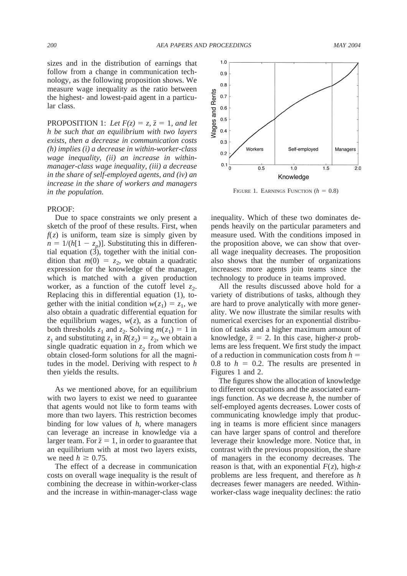sizes and in the distribution of earnings that follow from a change in communication technology, as the following proposition shows. We measure wage inequality as the ratio between the highest- and lowest-paid agent in a particular class.

PROPOSITION 1: Let  $F(z) = z$ ,  $\overline{z} = 1$ , and let *h be such that an equilibrium with two layers exists, then a decrease in communication costs (h) implies (i) a decrease in within-worker-class wage inequality, (ii) an increase in withinmanager-class wage inequality, (iii) a decrease in the share of self-employed agents, and (iv) an increase in the share of workers and managers in the population.*

### PROOF:

Due to space constraints we only present a sketch of the proof of these results. First, when  $f(z)$  is uniform, team size is simply given by  $n = 1/(h[1 - z_p)]$ . Substituting this in differential equation (3), together with the initial condition that  $m(0) = z_2$ , we obtain a quadratic expression for the knowledge of the manager, which is matched with a given production worker, as a function of the cutoff level  $z_2$ . Replacing this in differential equation (1), together with the initial condition  $w(z_1) = z_1$ , we also obtain a quadratic differential equation for the equilibrium wages,  $w(z)$ , as a function of both thresholds  $z_1$  and  $z_2$ . Solving  $m(z_1) = 1$  in *z*<sub>1</sub> and substituting *z*<sub>1</sub> in  $R(z_2) = z_2$ , we obtain a single quadratic equation in  $z<sub>2</sub>$  from which we obtain closed-form solutions for all the magnitudes in the model. Deriving with respect to *h* then yields the results.

As we mentioned above, for an equilibrium with two layers to exist we need to guarantee that agents would not like to form teams with more than two layers. This restriction becomes binding for low values of *h*, where managers can leverage an increase in knowledge via a larger team. For  $\bar{z} = 1$ , in order to guarantee that an equilibrium with at most two layers exists, we need  $h \geq 0.75$ .

The effect of a decrease in communication costs on overall wage inequality is the result of combining the decrease in within-worker-class and the increase in within-manager-class wage



FIGURE 1. EARNINGS FUNCTION  $(h = 0.8)$ 

inequality. Which of these two dominates depends heavily on the particular parameters and measure used. With the conditions imposed in the proposition above, we can show that overall wage inequality decreases. The proposition also shows that the number of organizations increases: more agents join teams since the technology to produce in teams improved.

All the results discussed above hold for a variety of distributions of tasks, although they are hard to prove analytically with more generality. We now illustrate the similar results with numerical exercises for an exponential distribution of tasks and a higher maximum amount of knowledge,  $\bar{z} = 2$ . In this case, higher-*z* problems are less frequent. We first study the impact of a reduction in communication costs from *h* 0.8 to  $h = 0.2$ . The results are presented in Figures 1 and 2.

The figures show the allocation of knowledge to different occupations and the associated earnings function. As we decrease *h*, the number of self-employed agents decreases. Lower costs of communicating knowledge imply that producing in teams is more efficient since managers can have larger spans of control and therefore leverage their knowledge more. Notice that, in contrast with the previous proposition, the share of managers in the economy decreases. The reason is that, with an exponential  $F(z)$ , high-*z* problems are less frequent, and therefore as *h* decreases fewer managers are needed. Withinworker-class wage inequality declines: the ratio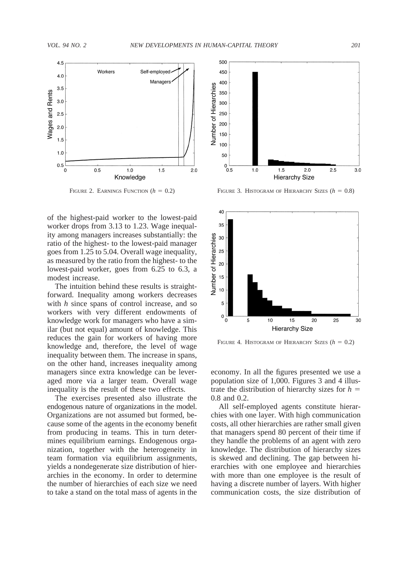

of the highest-paid worker to the lowest-paid worker drops from 3.13 to 1.23. Wage inequality among managers increases substantially: the ratio of the highest- to the lowest-paid manager goes from 1.25 to 5.04. Overall wage inequality, as measured by the ratio from the highest- to the lowest-paid worker, goes from 6.25 to 6.3, a modest increase.

The intuition behind these results is straightforward. Inequality among workers decreases with *h* since spans of control increase, and so workers with very different endowments of knowledge work for managers who have a similar (but not equal) amount of knowledge. This reduces the gain for workers of having more knowledge and, therefore, the level of wage inequality between them. The increase in spans, on the other hand, increases inequality among managers since extra knowledge can be leveraged more via a larger team. Overall wage inequality is the result of these two effects.

The exercises presented also illustrate the endogenous nature of organizations in the model. Organizations are not assumed but formed, because some of the agents in the economy benefit from producing in teams. This in turn determines equilibrium earnings. Endogenous organization, together with the heterogeneity in team formation via equilibrium assignments, yields a nondegenerate size distribution of hierarchies in the economy. In order to determine the number of hierarchies of each size we need to take a stand on the total mass of agents in the



FIGURE 2. EARNINGS FUNCTION  $(h = 0.2)$  FIGURE 3. HISTOGRAM OF HIERARCHY SIZES  $(h = 0.8)$ 



FIGURE 4. HISTOGRAM OF HIERARCHY SIZES  $(h = 0.2)$ 

economy. In all the figures presented we use a population size of 1,000. Figures 3 and 4 illustrate the distribution of hierarchy sizes for  $h =$ 0.8 and 0.2.

All self-employed agents constitute hierarchies with one layer. With high communication costs, all other hierarchies are rather small given that managers spend 80 percent of their time if they handle the problems of an agent with zero knowledge. The distribution of hierarchy sizes is skewed and declining. The gap between hierarchies with one employee and hierarchies with more than one employee is the result of having a discrete number of layers. With higher communication costs, the size distribution of